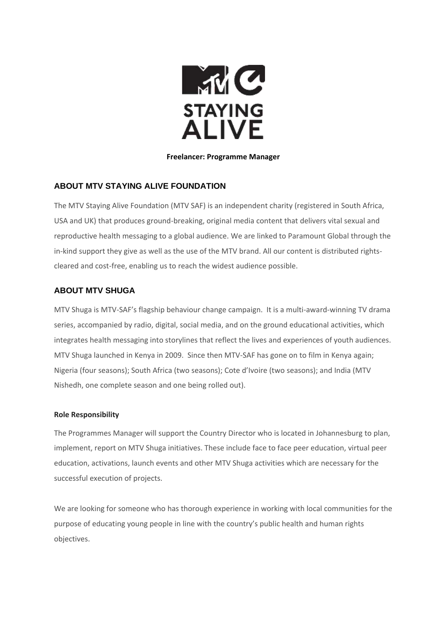

#### **Freelancer: Programme Manager**

### **ABOUT MTV STAYING ALIVE FOUNDATION**

The MTV Staying Alive Foundation (MTV SAF) is an independent charity (registered in South Africa, USA and UK) that produces ground-breaking, original media content that delivers vital sexual and reproductive health messaging to a global audience. We are linked to Paramount Global through the in-kind support they give as well as the use of the MTV brand. All our content is distributed rightscleared and cost-free, enabling us to reach the widest audience possible.

## **ABOUT MTV SHUGA**

MTV Shuga is MTV-SAF's flagship behaviour change campaign. It is a multi-award-winning TV drama series, accompanied by radio, digital, social media, and on the ground educational activities, which integrates health messaging into storylines that reflect the lives and experiences of youth audiences. MTV Shuga launched in Kenya in 2009. Since then MTV-SAF has gone on to film in Kenya again; Nigeria (four seasons); South Africa (two seasons); Cote d'Ivoire (two seasons); and India (MTV Nishedh, one complete season and one being rolled out).

#### **Role Responsibility**

The Programmes Manager will support the Country Director who is located in Johannesburg to plan, implement, report on MTV Shuga initiatives. These include face to face peer education, virtual peer education, activations, launch events and other MTV Shuga activities which are necessary for the successful execution of projects.

We are looking for someone who has thorough experience in working with local communities for the purpose of educating young people in line with the country's public health and human rights objectives.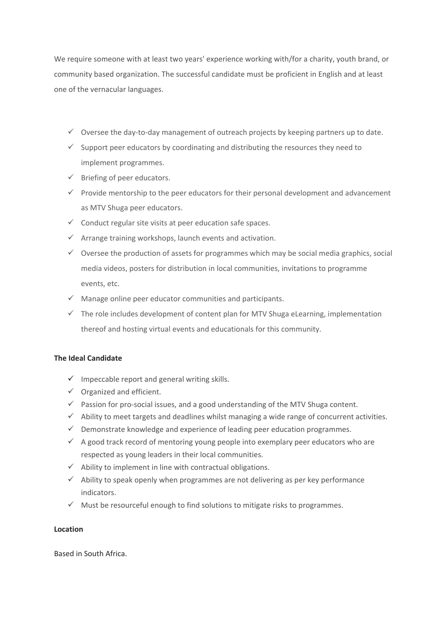We require someone with at least two years' experience working with/for a charity, youth brand, or community based organization. The successful candidate must be proficient in English and at least one of the vernacular languages.

- $\checkmark$  Oversee the day-to-day management of outreach projects by keeping partners up to date.
- $\checkmark$  Support peer educators by coordinating and distributing the resources they need to implement programmes.
- $\checkmark$  Briefing of peer educators.
- $\checkmark$  Provide mentorship to the peer educators for their personal development and advancement as MTV Shuga peer educators.
- $\checkmark$  Conduct regular site visits at peer education safe spaces.
- $\checkmark$  Arrange training workshops, launch events and activation.
- ✓ Oversee the production of assets for programmes which may be social media graphics, social media videos, posters for distribution in local communities, invitations to programme events, etc.
- $\checkmark$  Manage online peer educator communities and participants.
- $\checkmark$  The role includes development of content plan for MTV Shuga eLearning, implementation thereof and hosting virtual events and educationals for this community.

# **The Ideal Candidate**

- $\checkmark$  Impeccable report and general writing skills.
- $\checkmark$  Organized and efficient.
- $\checkmark$  Passion for pro-social issues, and a good understanding of the MTV Shuga content.
- $\checkmark$  Ability to meet targets and deadlines whilst managing a wide range of concurrent activities.
- $\checkmark$  Demonstrate knowledge and experience of leading peer education programmes.
- $\checkmark$  A good track record of mentoring young people into exemplary peer educators who are respected as young leaders in their local communities.
- $\checkmark$  Ability to implement in line with contractual obligations.
- $\checkmark$  Ability to speak openly when programmes are not delivering as per key performance indicators.
- $\checkmark$  Must be resourceful enough to find solutions to mitigate risks to programmes.

#### **Location**

Based in South Africa.